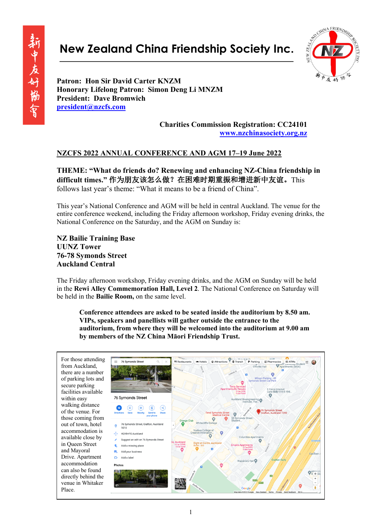# **New Zealand China Friendship Society Inc.**



Honaray Honarary **president@nzcfs.com Patron: Hon Sir David Carter KNZM Honorary Lifelong Patron: Simon Deng Li MNZM President: Dave Bromwich**

> **Charities Commission Registration: CC24101 www.nzchinasociety.org.nz**

#### **NZCFS 2022 ANNUAL CONFERENCE AND AGM 17–19 June 2022**

**THEME: "What do friends do? Renewing and enhancing NZ-China friendship in difficult times."** 作为朋友该怎么做?在困难时期重振和增进新中友谊。This follows last year's theme: "What it means to be a friend of China".

This year's National Conference and AGM will be held in central Auckland. The venue for the entire conference weekend, including the Friday afternoon workshop, Friday evening drinks, the National Conference on the Saturday, and the AGM on Sunday is:

**NZ Bailie Training Base UUNZ Tower 76-78 Symonds Street Auckland Central**

The Friday afternoon workshop, Friday evening drinks, and the AGM on Sunday will be held in the **Rewi Alley Commemoration Hall, Level 2**. The National Conference on Saturday will be held in the **Bailie Room,** on the same level.

**Conference attendees are asked to be seated inside the auditorium by 8.50 am. VIPs, speakers and panellists will gather outside the entrance to the auditorium, from where they will be welcomed into the auditorium at 9.00 am by members of the NZ China Māori Friendship Trust.**

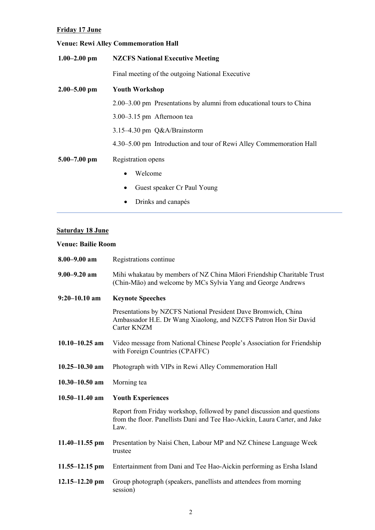### **Friday 17 June**

# **Venue: Rewi Alley Commemoration Hall**

| $1.00 - 2.00$ pm | <b>NZCFS National Executive Meeting</b>                              |
|------------------|----------------------------------------------------------------------|
|                  | Final meeting of the outgoing National Executive                     |
| $2.00 - 5.00$ pm | <b>Youth Workshop</b>                                                |
|                  | 2.00–3.00 pm Presentations by alumni from educational tours to China |
|                  | $3.00 - 3.15$ pm Afternoon tea                                       |
|                  | $3.15-4.30$ pm $Q&A/B$ rainstorm                                     |
|                  | 4.30–5.00 pm Introduction and tour of Rewi Alley Commemoration Hall  |
| $5.00 - 7.00$ pm | Registration opens                                                   |
|                  | Welcome                                                              |
|                  | Guest speaker Cr Paul Young                                          |
|                  | Drinks and canapés                                                   |

#### **Saturday 18 June**

#### **Venue: Bailie Room**

| $8.00 - 9.00$ am   | Registrations continue                                                                                                                                        |
|--------------------|---------------------------------------------------------------------------------------------------------------------------------------------------------------|
| $9.00 - 9.20$ am   | Mihi whakatau by members of NZ China Māori Friendship Charitable Trust<br>(Chin-Māo) and welcome by MCs Sylvia Yang and George Andrews                        |
| $9:20 - 10.10$ am  | <b>Keynote Speeches</b>                                                                                                                                       |
|                    | Presentations by NZCFS National President Dave Bromwich, China<br>Ambassador H.E. Dr Wang Xiaolong, and NZCFS Patron Hon Sir David<br>Carter KNZM             |
| $10.10 - 10.25$ am | Video message from National Chinese People's Association for Friendship<br>with Foreign Countries (CPAFFC)                                                    |
| $10.25 - 10.30$ am | Photograph with VIPs in Rewi Alley Commemoration Hall                                                                                                         |
| $10.30 - 10.50$ am | Morning tea                                                                                                                                                   |
| $10.50 - 11.40$ am | <b>Youth Experiences</b>                                                                                                                                      |
|                    | Report from Friday workshop, followed by panel discussion and questions<br>from the floor. Panellists Dani and Tee Hao-Aickin, Laura Carter, and Jake<br>Law. |
| $11.40 - 11.55$ pm | Presentation by Naisi Chen, Labour MP and NZ Chinese Language Week<br>trustee                                                                                 |
| $11.55 - 12.15$ pm | Entertainment from Dani and Tee Hao-Aickin performing as Ersha Island                                                                                         |
| $12.15 - 12.20$ pm | Group photograph (speakers, panellists and attendees from morning<br>session)                                                                                 |